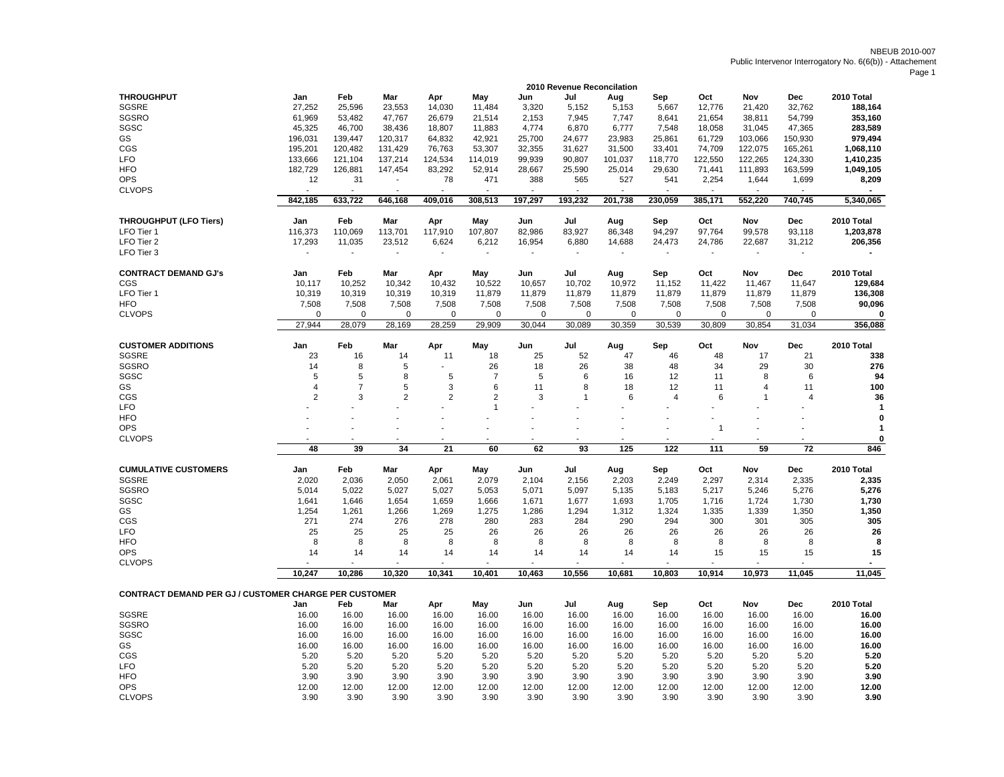NBEUB 2010-007Public Intervenor Interrogatory No. 6(6(b)) - Attachement

Page 1

| <b>THROUGHPUT</b><br>2010 Total<br>Jan<br>Feb<br>Mar<br>Apr<br>May<br>Jun<br>Jul<br>Aug<br>Sep<br>Oct<br>Nov<br>Dec<br><b>SGSRE</b><br>32,762<br>27,252<br>25,596<br>23,553<br>14,030<br>11,484<br>5,667<br>21,420<br>188,164<br>3,320<br>5,152<br>5,153<br>12,776<br><b>SGSRO</b><br>61,969<br>53,482<br>47,767<br>26,679<br>2,153<br>7,945<br>7,747<br>8,641<br>21,654<br>38,811<br>54,799<br>353,160<br>21,514<br>SGSC<br>45,325<br>46,700<br>38,436<br>18,807<br>11,883<br>4,774<br>6,870<br>6,777<br>7,548<br>18,058<br>31,045<br>47,365<br>283,589<br>GS<br>196,031<br>139,447<br>120,317<br>64,832<br>42,921<br>25,700<br>24,677<br>23,983<br>25,861<br>61,729<br>103,066<br>150,930<br>979,494<br>CGS<br>120,482<br>131,429<br>76,763<br>53,307<br>32,355<br>31,627<br>74,709<br>122,075<br>165,261<br>195,201<br>31,500<br>33,401<br>1,068,110<br><b>LFO</b><br>133,666<br>137,214<br>124,534<br>99.939<br>90,807<br>118,770<br>122,550<br>122,265<br>124,330<br>121,104<br>114,019<br>101,037<br>1,410,235<br><b>HFO</b><br>83,292<br>52,914<br>182,729<br>126,881<br>147,454<br>28,667<br>25,590<br>25,014<br>29,630<br>71,441<br>111,893<br>163,599<br>1,049,105<br><b>OPS</b><br>78<br>471<br>565<br>541<br>2,254<br>12<br>31<br>388<br>527<br>1,644<br>1,699<br>8,209<br>$\overline{\phantom{a}}$<br><b>CLVOPS</b><br>$\overline{a}$<br>$\overline{a}$<br>÷<br>$\blacksquare$<br>$\sim$<br>$\sim$<br>$\blacksquare$<br>$\sim$<br>$\sim$<br>$\overline{\phantom{a}}$<br>÷.<br>$\sim$<br>842,185<br>633,722<br>409,016<br>308,513<br>197,297<br>193,232<br>201,738<br>230,059<br>385,171<br>552,220<br>740,745<br>646,168<br>5.340.065<br><b>THROUGHPUT (LFO Tiers)</b><br>Feb<br>Oct<br>2010 Total<br>Jan<br>Mar<br>Apr<br>May<br>Jul<br>Sep<br>Nov<br><b>Dec</b><br>Jun<br>Aug<br>97,764<br>LFO Tier 1<br>116,373<br>110,069<br>113,701<br>117,910<br>107,807<br>82,986<br>83,927<br>86,348<br>94,297<br>99,578<br>93,118<br>1,203,878<br>24,786<br>LFO Tier 2<br>17,293<br>11,035<br>23,512<br>6,624<br>6,212<br>16,954<br>6,880<br>14,688<br>24,473<br>22,687<br>31,212<br>206,356<br>LFO Tier 3<br>$\blacksquare$<br>$\blacksquare$<br><b>CONTRACT DEMAND GJ's</b><br>Feb<br>May<br>Sep<br>Nov<br>2010 Total<br>Jan<br>Mar<br>Apr<br>Jun<br>Jul<br>Aug<br>Oct<br>Dec<br>CGS<br>10,117<br>10,252<br>10,342<br>10,432<br>10,522<br>10,657<br>10,702<br>10,972<br>11,152<br>11,422<br>11,467<br>11,647<br>129,684<br>LFO Tier 1<br>10,319<br>10,319<br>10,319<br>10,319<br>11,879<br>11,879<br>11,879<br>11,879<br>11,879<br>11,879<br>11,879<br>11,879<br>136,308<br><b>HFO</b><br>7,508<br>7,508<br>7,508<br>7,508<br>7,508<br>7,508<br>7,508<br>7,508<br>7,508<br>7,508<br>7,508<br>7,508<br>90,096<br><b>CLVOPS</b><br>$\Omega$<br>$\Omega$<br>$\Omega$<br>$\Omega$<br>$\Omega$<br>$\Omega$<br>0<br>$\Omega$<br>$\Omega$<br>$\Omega$<br>$\Omega$<br>$\Omega$<br>0<br>27,944<br>28,079<br>28,169<br>28,259<br>29,909<br>30,044<br>30,089<br>30,359<br>30,539<br>30,809<br>30,854<br>31,034<br>356,088<br><b>CUSTOMER ADDITIONS</b><br>Feb<br>2010 Total<br>Mar<br>May<br>Jul<br>Sep<br>Oct<br>Nov<br>Dec<br>Jan<br>Apr<br>Jun<br>Aug<br><b>SGSRE</b><br>16<br>25<br>52<br>47<br>21<br>23<br>14<br>11<br>18<br>46<br>48<br>17<br>338<br><b>SGSRO</b><br>29<br>30<br>8<br>5<br>26<br>18<br>26<br>38<br>48<br>34<br>276<br>14<br>L,<br>5<br>SGSC<br>5<br>8<br>5<br>$\overline{7}$<br>5<br>6<br>94<br>16<br>12<br>11<br>8<br>6<br>$\overline{7}$<br>5<br>GS<br>$\overline{4}$<br>3<br>6<br>11<br>8<br>18<br>12<br>11<br>4<br>11<br>100<br>$\mathfrak{p}$<br>3<br>$\overline{2}$<br>$\overline{2}$<br>$\overline{2}$<br>36<br>6<br>6<br>CGS<br>3<br>$\mathbf 1$<br>$\overline{4}$<br>1<br>$\overline{4}$<br><b>LFO</b><br>$\mathbf{1}$<br>$\mathbf{1}$<br><b>HFO</b><br>0<br><b>OPS</b><br>$\mathbf{1}$<br>-1<br><b>CLVOPS</b><br>0<br>J.<br>÷<br>34<br>21<br>60<br>62<br>59<br>$\overline{72}$<br>48<br>39<br>93<br>125<br>122<br>111<br>846<br><b>CUMULATIVE CUSTOMERS</b><br>2010 Total<br>Jan<br>Feb<br>Mar<br>Apr<br>May<br>Jun<br>Jul<br>Sep<br>Oct<br>Nov<br>Dec<br>Aug<br><b>SGSRE</b><br>2,036<br>2,079<br>2,020<br>2,050<br>2,061<br>2,104<br>2,156<br>2,203<br>2,249<br>2,297<br>2,314<br>2,335<br>2,335<br><b>SGSRO</b><br>5,276<br>5,276<br>5,014<br>5,022<br>5,027<br>5,027<br>5,053<br>5,071<br>5,097<br>5,135<br>5,183<br>5,217<br>5,246<br>SGSC<br>1,641<br>1.646<br>1,654<br>1,659<br>1,666<br>1,671<br>1,677<br>1,693<br>1,705<br>1,716<br>1,724<br>1,730<br>1,730<br>GS<br>1,254<br>1,261<br>1,266<br>1,269<br>1,275<br>1,286<br>1,294<br>1,312<br>1,324<br>1,335<br>1,339<br>1,350<br>1,350<br>305<br>CGS<br>274<br>276<br>278<br>280<br>283<br>284<br>290<br>294<br>300<br>301<br>305<br>271<br><b>LFO</b><br>25<br>25<br>25<br>25<br>26<br>26<br>26<br>26<br>26<br>26<br>26<br>26<br>26<br><b>HFO</b><br>8<br>8<br>8<br>8<br>8<br>8<br>8<br>8<br>8<br>8<br>8<br>8<br>8<br><b>OPS</b><br>15<br>14<br>14<br>14<br>14<br>14<br>14<br>14<br>14<br>14<br>15<br>15<br>15<br><b>CLVOPS</b><br>$\overline{\phantom{a}}$<br>÷.<br>$\overline{a}$<br>10.341<br>10,556<br>10.247<br>10,286<br>10,320<br>10.401<br>10.463<br>10.681<br>10.803<br>10,914<br>10.973<br>11,045<br>11,045<br><b>CONTRACT DEMAND PER GJ / CUSTOMER CHARGE PER CUSTOMER</b><br>Oct<br>Nov<br>2010 Total<br>Jan<br>Feb<br>Mar<br>Apr<br>May<br>Jun<br>Jul<br>Aug<br>Sep<br>Dec<br><b>SGSRE</b><br>16.00<br>16.00<br>16.00<br>16.00<br>16.00<br>16.00<br>16.00<br>16.00<br>16.00<br>16.00<br>16.00<br>16.00<br>16.00<br><b>SGSRO</b><br>16.00<br>16.00<br>16.00<br>16.00<br>16.00<br>16.00<br>16.00<br>16.00<br>16.00<br>16.00<br>16.00<br>16.00<br>16.00<br>SGSC<br>16.00<br>16.00<br>16.00<br>16.00<br>16.00<br>16.00<br>16.00<br>16.00<br>16.00<br>16.00<br>16.00<br>16.00<br>16.00<br>GS<br>16.00<br>16.00<br>16.00<br>16.00<br>16.00<br>16.00<br>16.00<br>16.00<br>16.00<br>16.00<br>16.00<br>16.00<br>16.00<br>CGS<br>5.20<br>5.20<br>5.20<br>5.20<br>5.20<br>5.20<br>5.20<br>5.20<br>5.20<br>5.20<br>5.20<br>5.20<br>5.20<br><b>LFO</b><br>5.20<br>5.20<br>5.20<br>5.20<br>5.20<br>5.20<br>5.20<br>5.20<br>5.20<br>5.20<br>5.20<br>5.20<br>5.20<br><b>HFO</b><br>3.90<br>3.90<br>3.90<br>3.90<br>3.90<br>3.90<br>3.90<br>3.90<br>3.90<br>3.90<br>3.90<br>3.90<br>3.90 |            |       |       |       |       |       |       | 2010 Revenue Reconcilation |       |       |       |       |       |       |
|-----------------------------------------------------------------------------------------------------------------------------------------------------------------------------------------------------------------------------------------------------------------------------------------------------------------------------------------------------------------------------------------------------------------------------------------------------------------------------------------------------------------------------------------------------------------------------------------------------------------------------------------------------------------------------------------------------------------------------------------------------------------------------------------------------------------------------------------------------------------------------------------------------------------------------------------------------------------------------------------------------------------------------------------------------------------------------------------------------------------------------------------------------------------------------------------------------------------------------------------------------------------------------------------------------------------------------------------------------------------------------------------------------------------------------------------------------------------------------------------------------------------------------------------------------------------------------------------------------------------------------------------------------------------------------------------------------------------------------------------------------------------------------------------------------------------------------------------------------------------------------------------------------------------------------------------------------------------------------------------------------------------------------------------------------------------------------------------------------------------------------------------------------------------------------------------------------------------------------------------------------------------------------------------------------------------------------------------------------------------------------------------------------------------------------------------------------------------------------------------------------------------------------------------------------------------------------------------------------------------------------------------------------------------------------------------------------------------------------------------------------------------------------------------------------------------------------------------------------------------------------------------------------------------------------------------------------------------------------------------------------------------------------------------------------------------------------------------------------------------------------------------------------------------------------------------------------------------------------------------------------------------------------------------------------------------------------------------------------------------------------------------------------------------------------------------------------------------------------------------------------------------------------------------------------------------------------------------------------------------------------------------------------------------------------------------------------------------------------------------------------------------------------------------------------------------------------------------------------------------------------------------------------------------------------------------------------------------------------------------------------------------------------------------------------------------------------------------------------------------------------------------------------------------------------------------------------------------------------------------------------------------------------------------------------------------------------------------------------------------------------------------------------------------------------------------------------------------------------------------------------------------------------------------------------------------------------------------------------------------------------------------------------------------------------------------------------------------------------------------------------------------------------------------------------------------------------------------------------------------------------------------------------------------------------------------------------------------------------------------------------------------------------------------------------------------------------------------------------------------------------------------------------------------------------------------------------------------------------------------------------------------------------------------------------------------------------------------------------------------------------------------------------------------------------------------------------------------------------------------------------------------------------------------------------------------------------------------------------------------------------------------------------------------------------------------------------------------------------------------------------------------------------------------------------------------------------------------------------------------------------------------------------------------------------------------------------------------------------------------------------------------------------------------------------------------------------------------------------------------------------------------------------------------------------------------------------------------------------------------------------------------------------|------------|-------|-------|-------|-------|-------|-------|----------------------------|-------|-------|-------|-------|-------|-------|
|                                                                                                                                                                                                                                                                                                                                                                                                                                                                                                                                                                                                                                                                                                                                                                                                                                                                                                                                                                                                                                                                                                                                                                                                                                                                                                                                                                                                                                                                                                                                                                                                                                                                                                                                                                                                                                                                                                                                                                                                                                                                                                                                                                                                                                                                                                                                                                                                                                                                                                                                                                                                                                                                                                                                                                                                                                                                                                                                                                                                                                                                                                                                                                                                                                                                                                                                                                                                                                                                                                                                                                                                                                                                                                                                                                                                                                                                                                                                                                                                                                                                                                                                                                                                                                                                                                                                                                                                                                                                                                                                                                                                                                                                                                                                                                                                                                                                                                                                                                                                                                                                                                                                                                                                                                                                                                                                                                                                                                                                                                                                                                                                                                                                                                                                                                                                                                                                                                                                                                                                                                                                                                                                                                                                                                                                             |            |       |       |       |       |       |       |                            |       |       |       |       |       |       |
|                                                                                                                                                                                                                                                                                                                                                                                                                                                                                                                                                                                                                                                                                                                                                                                                                                                                                                                                                                                                                                                                                                                                                                                                                                                                                                                                                                                                                                                                                                                                                                                                                                                                                                                                                                                                                                                                                                                                                                                                                                                                                                                                                                                                                                                                                                                                                                                                                                                                                                                                                                                                                                                                                                                                                                                                                                                                                                                                                                                                                                                                                                                                                                                                                                                                                                                                                                                                                                                                                                                                                                                                                                                                                                                                                                                                                                                                                                                                                                                                                                                                                                                                                                                                                                                                                                                                                                                                                                                                                                                                                                                                                                                                                                                                                                                                                                                                                                                                                                                                                                                                                                                                                                                                                                                                                                                                                                                                                                                                                                                                                                                                                                                                                                                                                                                                                                                                                                                                                                                                                                                                                                                                                                                                                                                                             |            |       |       |       |       |       |       |                            |       |       |       |       |       |       |
|                                                                                                                                                                                                                                                                                                                                                                                                                                                                                                                                                                                                                                                                                                                                                                                                                                                                                                                                                                                                                                                                                                                                                                                                                                                                                                                                                                                                                                                                                                                                                                                                                                                                                                                                                                                                                                                                                                                                                                                                                                                                                                                                                                                                                                                                                                                                                                                                                                                                                                                                                                                                                                                                                                                                                                                                                                                                                                                                                                                                                                                                                                                                                                                                                                                                                                                                                                                                                                                                                                                                                                                                                                                                                                                                                                                                                                                                                                                                                                                                                                                                                                                                                                                                                                                                                                                                                                                                                                                                                                                                                                                                                                                                                                                                                                                                                                                                                                                                                                                                                                                                                                                                                                                                                                                                                                                                                                                                                                                                                                                                                                                                                                                                                                                                                                                                                                                                                                                                                                                                                                                                                                                                                                                                                                                                             |            |       |       |       |       |       |       |                            |       |       |       |       |       |       |
|                                                                                                                                                                                                                                                                                                                                                                                                                                                                                                                                                                                                                                                                                                                                                                                                                                                                                                                                                                                                                                                                                                                                                                                                                                                                                                                                                                                                                                                                                                                                                                                                                                                                                                                                                                                                                                                                                                                                                                                                                                                                                                                                                                                                                                                                                                                                                                                                                                                                                                                                                                                                                                                                                                                                                                                                                                                                                                                                                                                                                                                                                                                                                                                                                                                                                                                                                                                                                                                                                                                                                                                                                                                                                                                                                                                                                                                                                                                                                                                                                                                                                                                                                                                                                                                                                                                                                                                                                                                                                                                                                                                                                                                                                                                                                                                                                                                                                                                                                                                                                                                                                                                                                                                                                                                                                                                                                                                                                                                                                                                                                                                                                                                                                                                                                                                                                                                                                                                                                                                                                                                                                                                                                                                                                                                                             |            |       |       |       |       |       |       |                            |       |       |       |       |       |       |
|                                                                                                                                                                                                                                                                                                                                                                                                                                                                                                                                                                                                                                                                                                                                                                                                                                                                                                                                                                                                                                                                                                                                                                                                                                                                                                                                                                                                                                                                                                                                                                                                                                                                                                                                                                                                                                                                                                                                                                                                                                                                                                                                                                                                                                                                                                                                                                                                                                                                                                                                                                                                                                                                                                                                                                                                                                                                                                                                                                                                                                                                                                                                                                                                                                                                                                                                                                                                                                                                                                                                                                                                                                                                                                                                                                                                                                                                                                                                                                                                                                                                                                                                                                                                                                                                                                                                                                                                                                                                                                                                                                                                                                                                                                                                                                                                                                                                                                                                                                                                                                                                                                                                                                                                                                                                                                                                                                                                                                                                                                                                                                                                                                                                                                                                                                                                                                                                                                                                                                                                                                                                                                                                                                                                                                                                             |            |       |       |       |       |       |       |                            |       |       |       |       |       |       |
|                                                                                                                                                                                                                                                                                                                                                                                                                                                                                                                                                                                                                                                                                                                                                                                                                                                                                                                                                                                                                                                                                                                                                                                                                                                                                                                                                                                                                                                                                                                                                                                                                                                                                                                                                                                                                                                                                                                                                                                                                                                                                                                                                                                                                                                                                                                                                                                                                                                                                                                                                                                                                                                                                                                                                                                                                                                                                                                                                                                                                                                                                                                                                                                                                                                                                                                                                                                                                                                                                                                                                                                                                                                                                                                                                                                                                                                                                                                                                                                                                                                                                                                                                                                                                                                                                                                                                                                                                                                                                                                                                                                                                                                                                                                                                                                                                                                                                                                                                                                                                                                                                                                                                                                                                                                                                                                                                                                                                                                                                                                                                                                                                                                                                                                                                                                                                                                                                                                                                                                                                                                                                                                                                                                                                                                                             |            |       |       |       |       |       |       |                            |       |       |       |       |       |       |
|                                                                                                                                                                                                                                                                                                                                                                                                                                                                                                                                                                                                                                                                                                                                                                                                                                                                                                                                                                                                                                                                                                                                                                                                                                                                                                                                                                                                                                                                                                                                                                                                                                                                                                                                                                                                                                                                                                                                                                                                                                                                                                                                                                                                                                                                                                                                                                                                                                                                                                                                                                                                                                                                                                                                                                                                                                                                                                                                                                                                                                                                                                                                                                                                                                                                                                                                                                                                                                                                                                                                                                                                                                                                                                                                                                                                                                                                                                                                                                                                                                                                                                                                                                                                                                                                                                                                                                                                                                                                                                                                                                                                                                                                                                                                                                                                                                                                                                                                                                                                                                                                                                                                                                                                                                                                                                                                                                                                                                                                                                                                                                                                                                                                                                                                                                                                                                                                                                                                                                                                                                                                                                                                                                                                                                                                             |            |       |       |       |       |       |       |                            |       |       |       |       |       |       |
|                                                                                                                                                                                                                                                                                                                                                                                                                                                                                                                                                                                                                                                                                                                                                                                                                                                                                                                                                                                                                                                                                                                                                                                                                                                                                                                                                                                                                                                                                                                                                                                                                                                                                                                                                                                                                                                                                                                                                                                                                                                                                                                                                                                                                                                                                                                                                                                                                                                                                                                                                                                                                                                                                                                                                                                                                                                                                                                                                                                                                                                                                                                                                                                                                                                                                                                                                                                                                                                                                                                                                                                                                                                                                                                                                                                                                                                                                                                                                                                                                                                                                                                                                                                                                                                                                                                                                                                                                                                                                                                                                                                                                                                                                                                                                                                                                                                                                                                                                                                                                                                                                                                                                                                                                                                                                                                                                                                                                                                                                                                                                                                                                                                                                                                                                                                                                                                                                                                                                                                                                                                                                                                                                                                                                                                                             |            |       |       |       |       |       |       |                            |       |       |       |       |       |       |
|                                                                                                                                                                                                                                                                                                                                                                                                                                                                                                                                                                                                                                                                                                                                                                                                                                                                                                                                                                                                                                                                                                                                                                                                                                                                                                                                                                                                                                                                                                                                                                                                                                                                                                                                                                                                                                                                                                                                                                                                                                                                                                                                                                                                                                                                                                                                                                                                                                                                                                                                                                                                                                                                                                                                                                                                                                                                                                                                                                                                                                                                                                                                                                                                                                                                                                                                                                                                                                                                                                                                                                                                                                                                                                                                                                                                                                                                                                                                                                                                                                                                                                                                                                                                                                                                                                                                                                                                                                                                                                                                                                                                                                                                                                                                                                                                                                                                                                                                                                                                                                                                                                                                                                                                                                                                                                                                                                                                                                                                                                                                                                                                                                                                                                                                                                                                                                                                                                                                                                                                                                                                                                                                                                                                                                                                             |            |       |       |       |       |       |       |                            |       |       |       |       |       |       |
|                                                                                                                                                                                                                                                                                                                                                                                                                                                                                                                                                                                                                                                                                                                                                                                                                                                                                                                                                                                                                                                                                                                                                                                                                                                                                                                                                                                                                                                                                                                                                                                                                                                                                                                                                                                                                                                                                                                                                                                                                                                                                                                                                                                                                                                                                                                                                                                                                                                                                                                                                                                                                                                                                                                                                                                                                                                                                                                                                                                                                                                                                                                                                                                                                                                                                                                                                                                                                                                                                                                                                                                                                                                                                                                                                                                                                                                                                                                                                                                                                                                                                                                                                                                                                                                                                                                                                                                                                                                                                                                                                                                                                                                                                                                                                                                                                                                                                                                                                                                                                                                                                                                                                                                                                                                                                                                                                                                                                                                                                                                                                                                                                                                                                                                                                                                                                                                                                                                                                                                                                                                                                                                                                                                                                                                                             |            |       |       |       |       |       |       |                            |       |       |       |       |       |       |
|                                                                                                                                                                                                                                                                                                                                                                                                                                                                                                                                                                                                                                                                                                                                                                                                                                                                                                                                                                                                                                                                                                                                                                                                                                                                                                                                                                                                                                                                                                                                                                                                                                                                                                                                                                                                                                                                                                                                                                                                                                                                                                                                                                                                                                                                                                                                                                                                                                                                                                                                                                                                                                                                                                                                                                                                                                                                                                                                                                                                                                                                                                                                                                                                                                                                                                                                                                                                                                                                                                                                                                                                                                                                                                                                                                                                                                                                                                                                                                                                                                                                                                                                                                                                                                                                                                                                                                                                                                                                                                                                                                                                                                                                                                                                                                                                                                                                                                                                                                                                                                                                                                                                                                                                                                                                                                                                                                                                                                                                                                                                                                                                                                                                                                                                                                                                                                                                                                                                                                                                                                                                                                                                                                                                                                                                             |            |       |       |       |       |       |       |                            |       |       |       |       |       |       |
|                                                                                                                                                                                                                                                                                                                                                                                                                                                                                                                                                                                                                                                                                                                                                                                                                                                                                                                                                                                                                                                                                                                                                                                                                                                                                                                                                                                                                                                                                                                                                                                                                                                                                                                                                                                                                                                                                                                                                                                                                                                                                                                                                                                                                                                                                                                                                                                                                                                                                                                                                                                                                                                                                                                                                                                                                                                                                                                                                                                                                                                                                                                                                                                                                                                                                                                                                                                                                                                                                                                                                                                                                                                                                                                                                                                                                                                                                                                                                                                                                                                                                                                                                                                                                                                                                                                                                                                                                                                                                                                                                                                                                                                                                                                                                                                                                                                                                                                                                                                                                                                                                                                                                                                                                                                                                                                                                                                                                                                                                                                                                                                                                                                                                                                                                                                                                                                                                                                                                                                                                                                                                                                                                                                                                                                                             |            |       |       |       |       |       |       |                            |       |       |       |       |       |       |
|                                                                                                                                                                                                                                                                                                                                                                                                                                                                                                                                                                                                                                                                                                                                                                                                                                                                                                                                                                                                                                                                                                                                                                                                                                                                                                                                                                                                                                                                                                                                                                                                                                                                                                                                                                                                                                                                                                                                                                                                                                                                                                                                                                                                                                                                                                                                                                                                                                                                                                                                                                                                                                                                                                                                                                                                                                                                                                                                                                                                                                                                                                                                                                                                                                                                                                                                                                                                                                                                                                                                                                                                                                                                                                                                                                                                                                                                                                                                                                                                                                                                                                                                                                                                                                                                                                                                                                                                                                                                                                                                                                                                                                                                                                                                                                                                                                                                                                                                                                                                                                                                                                                                                                                                                                                                                                                                                                                                                                                                                                                                                                                                                                                                                                                                                                                                                                                                                                                                                                                                                                                                                                                                                                                                                                                                             |            |       |       |       |       |       |       |                            |       |       |       |       |       |       |
|                                                                                                                                                                                                                                                                                                                                                                                                                                                                                                                                                                                                                                                                                                                                                                                                                                                                                                                                                                                                                                                                                                                                                                                                                                                                                                                                                                                                                                                                                                                                                                                                                                                                                                                                                                                                                                                                                                                                                                                                                                                                                                                                                                                                                                                                                                                                                                                                                                                                                                                                                                                                                                                                                                                                                                                                                                                                                                                                                                                                                                                                                                                                                                                                                                                                                                                                                                                                                                                                                                                                                                                                                                                                                                                                                                                                                                                                                                                                                                                                                                                                                                                                                                                                                                                                                                                                                                                                                                                                                                                                                                                                                                                                                                                                                                                                                                                                                                                                                                                                                                                                                                                                                                                                                                                                                                                                                                                                                                                                                                                                                                                                                                                                                                                                                                                                                                                                                                                                                                                                                                                                                                                                                                                                                                                                             |            |       |       |       |       |       |       |                            |       |       |       |       |       |       |
|                                                                                                                                                                                                                                                                                                                                                                                                                                                                                                                                                                                                                                                                                                                                                                                                                                                                                                                                                                                                                                                                                                                                                                                                                                                                                                                                                                                                                                                                                                                                                                                                                                                                                                                                                                                                                                                                                                                                                                                                                                                                                                                                                                                                                                                                                                                                                                                                                                                                                                                                                                                                                                                                                                                                                                                                                                                                                                                                                                                                                                                                                                                                                                                                                                                                                                                                                                                                                                                                                                                                                                                                                                                                                                                                                                                                                                                                                                                                                                                                                                                                                                                                                                                                                                                                                                                                                                                                                                                                                                                                                                                                                                                                                                                                                                                                                                                                                                                                                                                                                                                                                                                                                                                                                                                                                                                                                                                                                                                                                                                                                                                                                                                                                                                                                                                                                                                                                                                                                                                                                                                                                                                                                                                                                                                                             |            |       |       |       |       |       |       |                            |       |       |       |       |       |       |
|                                                                                                                                                                                                                                                                                                                                                                                                                                                                                                                                                                                                                                                                                                                                                                                                                                                                                                                                                                                                                                                                                                                                                                                                                                                                                                                                                                                                                                                                                                                                                                                                                                                                                                                                                                                                                                                                                                                                                                                                                                                                                                                                                                                                                                                                                                                                                                                                                                                                                                                                                                                                                                                                                                                                                                                                                                                                                                                                                                                                                                                                                                                                                                                                                                                                                                                                                                                                                                                                                                                                                                                                                                                                                                                                                                                                                                                                                                                                                                                                                                                                                                                                                                                                                                                                                                                                                                                                                                                                                                                                                                                                                                                                                                                                                                                                                                                                                                                                                                                                                                                                                                                                                                                                                                                                                                                                                                                                                                                                                                                                                                                                                                                                                                                                                                                                                                                                                                                                                                                                                                                                                                                                                                                                                                                                             |            |       |       |       |       |       |       |                            |       |       |       |       |       |       |
|                                                                                                                                                                                                                                                                                                                                                                                                                                                                                                                                                                                                                                                                                                                                                                                                                                                                                                                                                                                                                                                                                                                                                                                                                                                                                                                                                                                                                                                                                                                                                                                                                                                                                                                                                                                                                                                                                                                                                                                                                                                                                                                                                                                                                                                                                                                                                                                                                                                                                                                                                                                                                                                                                                                                                                                                                                                                                                                                                                                                                                                                                                                                                                                                                                                                                                                                                                                                                                                                                                                                                                                                                                                                                                                                                                                                                                                                                                                                                                                                                                                                                                                                                                                                                                                                                                                                                                                                                                                                                                                                                                                                                                                                                                                                                                                                                                                                                                                                                                                                                                                                                                                                                                                                                                                                                                                                                                                                                                                                                                                                                                                                                                                                                                                                                                                                                                                                                                                                                                                                                                                                                                                                                                                                                                                                             |            |       |       |       |       |       |       |                            |       |       |       |       |       |       |
|                                                                                                                                                                                                                                                                                                                                                                                                                                                                                                                                                                                                                                                                                                                                                                                                                                                                                                                                                                                                                                                                                                                                                                                                                                                                                                                                                                                                                                                                                                                                                                                                                                                                                                                                                                                                                                                                                                                                                                                                                                                                                                                                                                                                                                                                                                                                                                                                                                                                                                                                                                                                                                                                                                                                                                                                                                                                                                                                                                                                                                                                                                                                                                                                                                                                                                                                                                                                                                                                                                                                                                                                                                                                                                                                                                                                                                                                                                                                                                                                                                                                                                                                                                                                                                                                                                                                                                                                                                                                                                                                                                                                                                                                                                                                                                                                                                                                                                                                                                                                                                                                                                                                                                                                                                                                                                                                                                                                                                                                                                                                                                                                                                                                                                                                                                                                                                                                                                                                                                                                                                                                                                                                                                                                                                                                             |            |       |       |       |       |       |       |                            |       |       |       |       |       |       |
|                                                                                                                                                                                                                                                                                                                                                                                                                                                                                                                                                                                                                                                                                                                                                                                                                                                                                                                                                                                                                                                                                                                                                                                                                                                                                                                                                                                                                                                                                                                                                                                                                                                                                                                                                                                                                                                                                                                                                                                                                                                                                                                                                                                                                                                                                                                                                                                                                                                                                                                                                                                                                                                                                                                                                                                                                                                                                                                                                                                                                                                                                                                                                                                                                                                                                                                                                                                                                                                                                                                                                                                                                                                                                                                                                                                                                                                                                                                                                                                                                                                                                                                                                                                                                                                                                                                                                                                                                                                                                                                                                                                                                                                                                                                                                                                                                                                                                                                                                                                                                                                                                                                                                                                                                                                                                                                                                                                                                                                                                                                                                                                                                                                                                                                                                                                                                                                                                                                                                                                                                                                                                                                                                                                                                                                                             |            |       |       |       |       |       |       |                            |       |       |       |       |       |       |
|                                                                                                                                                                                                                                                                                                                                                                                                                                                                                                                                                                                                                                                                                                                                                                                                                                                                                                                                                                                                                                                                                                                                                                                                                                                                                                                                                                                                                                                                                                                                                                                                                                                                                                                                                                                                                                                                                                                                                                                                                                                                                                                                                                                                                                                                                                                                                                                                                                                                                                                                                                                                                                                                                                                                                                                                                                                                                                                                                                                                                                                                                                                                                                                                                                                                                                                                                                                                                                                                                                                                                                                                                                                                                                                                                                                                                                                                                                                                                                                                                                                                                                                                                                                                                                                                                                                                                                                                                                                                                                                                                                                                                                                                                                                                                                                                                                                                                                                                                                                                                                                                                                                                                                                                                                                                                                                                                                                                                                                                                                                                                                                                                                                                                                                                                                                                                                                                                                                                                                                                                                                                                                                                                                                                                                                                             |            |       |       |       |       |       |       |                            |       |       |       |       |       |       |
|                                                                                                                                                                                                                                                                                                                                                                                                                                                                                                                                                                                                                                                                                                                                                                                                                                                                                                                                                                                                                                                                                                                                                                                                                                                                                                                                                                                                                                                                                                                                                                                                                                                                                                                                                                                                                                                                                                                                                                                                                                                                                                                                                                                                                                                                                                                                                                                                                                                                                                                                                                                                                                                                                                                                                                                                                                                                                                                                                                                                                                                                                                                                                                                                                                                                                                                                                                                                                                                                                                                                                                                                                                                                                                                                                                                                                                                                                                                                                                                                                                                                                                                                                                                                                                                                                                                                                                                                                                                                                                                                                                                                                                                                                                                                                                                                                                                                                                                                                                                                                                                                                                                                                                                                                                                                                                                                                                                                                                                                                                                                                                                                                                                                                                                                                                                                                                                                                                                                                                                                                                                                                                                                                                                                                                                                             |            |       |       |       |       |       |       |                            |       |       |       |       |       |       |
|                                                                                                                                                                                                                                                                                                                                                                                                                                                                                                                                                                                                                                                                                                                                                                                                                                                                                                                                                                                                                                                                                                                                                                                                                                                                                                                                                                                                                                                                                                                                                                                                                                                                                                                                                                                                                                                                                                                                                                                                                                                                                                                                                                                                                                                                                                                                                                                                                                                                                                                                                                                                                                                                                                                                                                                                                                                                                                                                                                                                                                                                                                                                                                                                                                                                                                                                                                                                                                                                                                                                                                                                                                                                                                                                                                                                                                                                                                                                                                                                                                                                                                                                                                                                                                                                                                                                                                                                                                                                                                                                                                                                                                                                                                                                                                                                                                                                                                                                                                                                                                                                                                                                                                                                                                                                                                                                                                                                                                                                                                                                                                                                                                                                                                                                                                                                                                                                                                                                                                                                                                                                                                                                                                                                                                                                             |            |       |       |       |       |       |       |                            |       |       |       |       |       |       |
|                                                                                                                                                                                                                                                                                                                                                                                                                                                                                                                                                                                                                                                                                                                                                                                                                                                                                                                                                                                                                                                                                                                                                                                                                                                                                                                                                                                                                                                                                                                                                                                                                                                                                                                                                                                                                                                                                                                                                                                                                                                                                                                                                                                                                                                                                                                                                                                                                                                                                                                                                                                                                                                                                                                                                                                                                                                                                                                                                                                                                                                                                                                                                                                                                                                                                                                                                                                                                                                                                                                                                                                                                                                                                                                                                                                                                                                                                                                                                                                                                                                                                                                                                                                                                                                                                                                                                                                                                                                                                                                                                                                                                                                                                                                                                                                                                                                                                                                                                                                                                                                                                                                                                                                                                                                                                                                                                                                                                                                                                                                                                                                                                                                                                                                                                                                                                                                                                                                                                                                                                                                                                                                                                                                                                                                                             |            |       |       |       |       |       |       |                            |       |       |       |       |       |       |
|                                                                                                                                                                                                                                                                                                                                                                                                                                                                                                                                                                                                                                                                                                                                                                                                                                                                                                                                                                                                                                                                                                                                                                                                                                                                                                                                                                                                                                                                                                                                                                                                                                                                                                                                                                                                                                                                                                                                                                                                                                                                                                                                                                                                                                                                                                                                                                                                                                                                                                                                                                                                                                                                                                                                                                                                                                                                                                                                                                                                                                                                                                                                                                                                                                                                                                                                                                                                                                                                                                                                                                                                                                                                                                                                                                                                                                                                                                                                                                                                                                                                                                                                                                                                                                                                                                                                                                                                                                                                                                                                                                                                                                                                                                                                                                                                                                                                                                                                                                                                                                                                                                                                                                                                                                                                                                                                                                                                                                                                                                                                                                                                                                                                                                                                                                                                                                                                                                                                                                                                                                                                                                                                                                                                                                                                             |            |       |       |       |       |       |       |                            |       |       |       |       |       |       |
|                                                                                                                                                                                                                                                                                                                                                                                                                                                                                                                                                                                                                                                                                                                                                                                                                                                                                                                                                                                                                                                                                                                                                                                                                                                                                                                                                                                                                                                                                                                                                                                                                                                                                                                                                                                                                                                                                                                                                                                                                                                                                                                                                                                                                                                                                                                                                                                                                                                                                                                                                                                                                                                                                                                                                                                                                                                                                                                                                                                                                                                                                                                                                                                                                                                                                                                                                                                                                                                                                                                                                                                                                                                                                                                                                                                                                                                                                                                                                                                                                                                                                                                                                                                                                                                                                                                                                                                                                                                                                                                                                                                                                                                                                                                                                                                                                                                                                                                                                                                                                                                                                                                                                                                                                                                                                                                                                                                                                                                                                                                                                                                                                                                                                                                                                                                                                                                                                                                                                                                                                                                                                                                                                                                                                                                                             |            |       |       |       |       |       |       |                            |       |       |       |       |       |       |
|                                                                                                                                                                                                                                                                                                                                                                                                                                                                                                                                                                                                                                                                                                                                                                                                                                                                                                                                                                                                                                                                                                                                                                                                                                                                                                                                                                                                                                                                                                                                                                                                                                                                                                                                                                                                                                                                                                                                                                                                                                                                                                                                                                                                                                                                                                                                                                                                                                                                                                                                                                                                                                                                                                                                                                                                                                                                                                                                                                                                                                                                                                                                                                                                                                                                                                                                                                                                                                                                                                                                                                                                                                                                                                                                                                                                                                                                                                                                                                                                                                                                                                                                                                                                                                                                                                                                                                                                                                                                                                                                                                                                                                                                                                                                                                                                                                                                                                                                                                                                                                                                                                                                                                                                                                                                                                                                                                                                                                                                                                                                                                                                                                                                                                                                                                                                                                                                                                                                                                                                                                                                                                                                                                                                                                                                             |            |       |       |       |       |       |       |                            |       |       |       |       |       |       |
|                                                                                                                                                                                                                                                                                                                                                                                                                                                                                                                                                                                                                                                                                                                                                                                                                                                                                                                                                                                                                                                                                                                                                                                                                                                                                                                                                                                                                                                                                                                                                                                                                                                                                                                                                                                                                                                                                                                                                                                                                                                                                                                                                                                                                                                                                                                                                                                                                                                                                                                                                                                                                                                                                                                                                                                                                                                                                                                                                                                                                                                                                                                                                                                                                                                                                                                                                                                                                                                                                                                                                                                                                                                                                                                                                                                                                                                                                                                                                                                                                                                                                                                                                                                                                                                                                                                                                                                                                                                                                                                                                                                                                                                                                                                                                                                                                                                                                                                                                                                                                                                                                                                                                                                                                                                                                                                                                                                                                                                                                                                                                                                                                                                                                                                                                                                                                                                                                                                                                                                                                                                                                                                                                                                                                                                                             |            |       |       |       |       |       |       |                            |       |       |       |       |       |       |
|                                                                                                                                                                                                                                                                                                                                                                                                                                                                                                                                                                                                                                                                                                                                                                                                                                                                                                                                                                                                                                                                                                                                                                                                                                                                                                                                                                                                                                                                                                                                                                                                                                                                                                                                                                                                                                                                                                                                                                                                                                                                                                                                                                                                                                                                                                                                                                                                                                                                                                                                                                                                                                                                                                                                                                                                                                                                                                                                                                                                                                                                                                                                                                                                                                                                                                                                                                                                                                                                                                                                                                                                                                                                                                                                                                                                                                                                                                                                                                                                                                                                                                                                                                                                                                                                                                                                                                                                                                                                                                                                                                                                                                                                                                                                                                                                                                                                                                                                                                                                                                                                                                                                                                                                                                                                                                                                                                                                                                                                                                                                                                                                                                                                                                                                                                                                                                                                                                                                                                                                                                                                                                                                                                                                                                                                             |            |       |       |       |       |       |       |                            |       |       |       |       |       |       |
|                                                                                                                                                                                                                                                                                                                                                                                                                                                                                                                                                                                                                                                                                                                                                                                                                                                                                                                                                                                                                                                                                                                                                                                                                                                                                                                                                                                                                                                                                                                                                                                                                                                                                                                                                                                                                                                                                                                                                                                                                                                                                                                                                                                                                                                                                                                                                                                                                                                                                                                                                                                                                                                                                                                                                                                                                                                                                                                                                                                                                                                                                                                                                                                                                                                                                                                                                                                                                                                                                                                                                                                                                                                                                                                                                                                                                                                                                                                                                                                                                                                                                                                                                                                                                                                                                                                                                                                                                                                                                                                                                                                                                                                                                                                                                                                                                                                                                                                                                                                                                                                                                                                                                                                                                                                                                                                                                                                                                                                                                                                                                                                                                                                                                                                                                                                                                                                                                                                                                                                                                                                                                                                                                                                                                                                                             |            |       |       |       |       |       |       |                            |       |       |       |       |       |       |
|                                                                                                                                                                                                                                                                                                                                                                                                                                                                                                                                                                                                                                                                                                                                                                                                                                                                                                                                                                                                                                                                                                                                                                                                                                                                                                                                                                                                                                                                                                                                                                                                                                                                                                                                                                                                                                                                                                                                                                                                                                                                                                                                                                                                                                                                                                                                                                                                                                                                                                                                                                                                                                                                                                                                                                                                                                                                                                                                                                                                                                                                                                                                                                                                                                                                                                                                                                                                                                                                                                                                                                                                                                                                                                                                                                                                                                                                                                                                                                                                                                                                                                                                                                                                                                                                                                                                                                                                                                                                                                                                                                                                                                                                                                                                                                                                                                                                                                                                                                                                                                                                                                                                                                                                                                                                                                                                                                                                                                                                                                                                                                                                                                                                                                                                                                                                                                                                                                                                                                                                                                                                                                                                                                                                                                                                             |            |       |       |       |       |       |       |                            |       |       |       |       |       |       |
|                                                                                                                                                                                                                                                                                                                                                                                                                                                                                                                                                                                                                                                                                                                                                                                                                                                                                                                                                                                                                                                                                                                                                                                                                                                                                                                                                                                                                                                                                                                                                                                                                                                                                                                                                                                                                                                                                                                                                                                                                                                                                                                                                                                                                                                                                                                                                                                                                                                                                                                                                                                                                                                                                                                                                                                                                                                                                                                                                                                                                                                                                                                                                                                                                                                                                                                                                                                                                                                                                                                                                                                                                                                                                                                                                                                                                                                                                                                                                                                                                                                                                                                                                                                                                                                                                                                                                                                                                                                                                                                                                                                                                                                                                                                                                                                                                                                                                                                                                                                                                                                                                                                                                                                                                                                                                                                                                                                                                                                                                                                                                                                                                                                                                                                                                                                                                                                                                                                                                                                                                                                                                                                                                                                                                                                                             |            |       |       |       |       |       |       |                            |       |       |       |       |       |       |
|                                                                                                                                                                                                                                                                                                                                                                                                                                                                                                                                                                                                                                                                                                                                                                                                                                                                                                                                                                                                                                                                                                                                                                                                                                                                                                                                                                                                                                                                                                                                                                                                                                                                                                                                                                                                                                                                                                                                                                                                                                                                                                                                                                                                                                                                                                                                                                                                                                                                                                                                                                                                                                                                                                                                                                                                                                                                                                                                                                                                                                                                                                                                                                                                                                                                                                                                                                                                                                                                                                                                                                                                                                                                                                                                                                                                                                                                                                                                                                                                                                                                                                                                                                                                                                                                                                                                                                                                                                                                                                                                                                                                                                                                                                                                                                                                                                                                                                                                                                                                                                                                                                                                                                                                                                                                                                                                                                                                                                                                                                                                                                                                                                                                                                                                                                                                                                                                                                                                                                                                                                                                                                                                                                                                                                                                             |            |       |       |       |       |       |       |                            |       |       |       |       |       |       |
|                                                                                                                                                                                                                                                                                                                                                                                                                                                                                                                                                                                                                                                                                                                                                                                                                                                                                                                                                                                                                                                                                                                                                                                                                                                                                                                                                                                                                                                                                                                                                                                                                                                                                                                                                                                                                                                                                                                                                                                                                                                                                                                                                                                                                                                                                                                                                                                                                                                                                                                                                                                                                                                                                                                                                                                                                                                                                                                                                                                                                                                                                                                                                                                                                                                                                                                                                                                                                                                                                                                                                                                                                                                                                                                                                                                                                                                                                                                                                                                                                                                                                                                                                                                                                                                                                                                                                                                                                                                                                                                                                                                                                                                                                                                                                                                                                                                                                                                                                                                                                                                                                                                                                                                                                                                                                                                                                                                                                                                                                                                                                                                                                                                                                                                                                                                                                                                                                                                                                                                                                                                                                                                                                                                                                                                                             |            |       |       |       |       |       |       |                            |       |       |       |       |       |       |
|                                                                                                                                                                                                                                                                                                                                                                                                                                                                                                                                                                                                                                                                                                                                                                                                                                                                                                                                                                                                                                                                                                                                                                                                                                                                                                                                                                                                                                                                                                                                                                                                                                                                                                                                                                                                                                                                                                                                                                                                                                                                                                                                                                                                                                                                                                                                                                                                                                                                                                                                                                                                                                                                                                                                                                                                                                                                                                                                                                                                                                                                                                                                                                                                                                                                                                                                                                                                                                                                                                                                                                                                                                                                                                                                                                                                                                                                                                                                                                                                                                                                                                                                                                                                                                                                                                                                                                                                                                                                                                                                                                                                                                                                                                                                                                                                                                                                                                                                                                                                                                                                                                                                                                                                                                                                                                                                                                                                                                                                                                                                                                                                                                                                                                                                                                                                                                                                                                                                                                                                                                                                                                                                                                                                                                                                             |            |       |       |       |       |       |       |                            |       |       |       |       |       |       |
|                                                                                                                                                                                                                                                                                                                                                                                                                                                                                                                                                                                                                                                                                                                                                                                                                                                                                                                                                                                                                                                                                                                                                                                                                                                                                                                                                                                                                                                                                                                                                                                                                                                                                                                                                                                                                                                                                                                                                                                                                                                                                                                                                                                                                                                                                                                                                                                                                                                                                                                                                                                                                                                                                                                                                                                                                                                                                                                                                                                                                                                                                                                                                                                                                                                                                                                                                                                                                                                                                                                                                                                                                                                                                                                                                                                                                                                                                                                                                                                                                                                                                                                                                                                                                                                                                                                                                                                                                                                                                                                                                                                                                                                                                                                                                                                                                                                                                                                                                                                                                                                                                                                                                                                                                                                                                                                                                                                                                                                                                                                                                                                                                                                                                                                                                                                                                                                                                                                                                                                                                                                                                                                                                                                                                                                                             |            |       |       |       |       |       |       |                            |       |       |       |       |       |       |
|                                                                                                                                                                                                                                                                                                                                                                                                                                                                                                                                                                                                                                                                                                                                                                                                                                                                                                                                                                                                                                                                                                                                                                                                                                                                                                                                                                                                                                                                                                                                                                                                                                                                                                                                                                                                                                                                                                                                                                                                                                                                                                                                                                                                                                                                                                                                                                                                                                                                                                                                                                                                                                                                                                                                                                                                                                                                                                                                                                                                                                                                                                                                                                                                                                                                                                                                                                                                                                                                                                                                                                                                                                                                                                                                                                                                                                                                                                                                                                                                                                                                                                                                                                                                                                                                                                                                                                                                                                                                                                                                                                                                                                                                                                                                                                                                                                                                                                                                                                                                                                                                                                                                                                                                                                                                                                                                                                                                                                                                                                                                                                                                                                                                                                                                                                                                                                                                                                                                                                                                                                                                                                                                                                                                                                                                             |            |       |       |       |       |       |       |                            |       |       |       |       |       |       |
|                                                                                                                                                                                                                                                                                                                                                                                                                                                                                                                                                                                                                                                                                                                                                                                                                                                                                                                                                                                                                                                                                                                                                                                                                                                                                                                                                                                                                                                                                                                                                                                                                                                                                                                                                                                                                                                                                                                                                                                                                                                                                                                                                                                                                                                                                                                                                                                                                                                                                                                                                                                                                                                                                                                                                                                                                                                                                                                                                                                                                                                                                                                                                                                                                                                                                                                                                                                                                                                                                                                                                                                                                                                                                                                                                                                                                                                                                                                                                                                                                                                                                                                                                                                                                                                                                                                                                                                                                                                                                                                                                                                                                                                                                                                                                                                                                                                                                                                                                                                                                                                                                                                                                                                                                                                                                                                                                                                                                                                                                                                                                                                                                                                                                                                                                                                                                                                                                                                                                                                                                                                                                                                                                                                                                                                                             |            |       |       |       |       |       |       |                            |       |       |       |       |       |       |
|                                                                                                                                                                                                                                                                                                                                                                                                                                                                                                                                                                                                                                                                                                                                                                                                                                                                                                                                                                                                                                                                                                                                                                                                                                                                                                                                                                                                                                                                                                                                                                                                                                                                                                                                                                                                                                                                                                                                                                                                                                                                                                                                                                                                                                                                                                                                                                                                                                                                                                                                                                                                                                                                                                                                                                                                                                                                                                                                                                                                                                                                                                                                                                                                                                                                                                                                                                                                                                                                                                                                                                                                                                                                                                                                                                                                                                                                                                                                                                                                                                                                                                                                                                                                                                                                                                                                                                                                                                                                                                                                                                                                                                                                                                                                                                                                                                                                                                                                                                                                                                                                                                                                                                                                                                                                                                                                                                                                                                                                                                                                                                                                                                                                                                                                                                                                                                                                                                                                                                                                                                                                                                                                                                                                                                                                             |            |       |       |       |       |       |       |                            |       |       |       |       |       |       |
|                                                                                                                                                                                                                                                                                                                                                                                                                                                                                                                                                                                                                                                                                                                                                                                                                                                                                                                                                                                                                                                                                                                                                                                                                                                                                                                                                                                                                                                                                                                                                                                                                                                                                                                                                                                                                                                                                                                                                                                                                                                                                                                                                                                                                                                                                                                                                                                                                                                                                                                                                                                                                                                                                                                                                                                                                                                                                                                                                                                                                                                                                                                                                                                                                                                                                                                                                                                                                                                                                                                                                                                                                                                                                                                                                                                                                                                                                                                                                                                                                                                                                                                                                                                                                                                                                                                                                                                                                                                                                                                                                                                                                                                                                                                                                                                                                                                                                                                                                                                                                                                                                                                                                                                                                                                                                                                                                                                                                                                                                                                                                                                                                                                                                                                                                                                                                                                                                                                                                                                                                                                                                                                                                                                                                                                                             |            |       |       |       |       |       |       |                            |       |       |       |       |       |       |
|                                                                                                                                                                                                                                                                                                                                                                                                                                                                                                                                                                                                                                                                                                                                                                                                                                                                                                                                                                                                                                                                                                                                                                                                                                                                                                                                                                                                                                                                                                                                                                                                                                                                                                                                                                                                                                                                                                                                                                                                                                                                                                                                                                                                                                                                                                                                                                                                                                                                                                                                                                                                                                                                                                                                                                                                                                                                                                                                                                                                                                                                                                                                                                                                                                                                                                                                                                                                                                                                                                                                                                                                                                                                                                                                                                                                                                                                                                                                                                                                                                                                                                                                                                                                                                                                                                                                                                                                                                                                                                                                                                                                                                                                                                                                                                                                                                                                                                                                                                                                                                                                                                                                                                                                                                                                                                                                                                                                                                                                                                                                                                                                                                                                                                                                                                                                                                                                                                                                                                                                                                                                                                                                                                                                                                                                             |            |       |       |       |       |       |       |                            |       |       |       |       |       |       |
|                                                                                                                                                                                                                                                                                                                                                                                                                                                                                                                                                                                                                                                                                                                                                                                                                                                                                                                                                                                                                                                                                                                                                                                                                                                                                                                                                                                                                                                                                                                                                                                                                                                                                                                                                                                                                                                                                                                                                                                                                                                                                                                                                                                                                                                                                                                                                                                                                                                                                                                                                                                                                                                                                                                                                                                                                                                                                                                                                                                                                                                                                                                                                                                                                                                                                                                                                                                                                                                                                                                                                                                                                                                                                                                                                                                                                                                                                                                                                                                                                                                                                                                                                                                                                                                                                                                                                                                                                                                                                                                                                                                                                                                                                                                                                                                                                                                                                                                                                                                                                                                                                                                                                                                                                                                                                                                                                                                                                                                                                                                                                                                                                                                                                                                                                                                                                                                                                                                                                                                                                                                                                                                                                                                                                                                                             |            |       |       |       |       |       |       |                            |       |       |       |       |       |       |
|                                                                                                                                                                                                                                                                                                                                                                                                                                                                                                                                                                                                                                                                                                                                                                                                                                                                                                                                                                                                                                                                                                                                                                                                                                                                                                                                                                                                                                                                                                                                                                                                                                                                                                                                                                                                                                                                                                                                                                                                                                                                                                                                                                                                                                                                                                                                                                                                                                                                                                                                                                                                                                                                                                                                                                                                                                                                                                                                                                                                                                                                                                                                                                                                                                                                                                                                                                                                                                                                                                                                                                                                                                                                                                                                                                                                                                                                                                                                                                                                                                                                                                                                                                                                                                                                                                                                                                                                                                                                                                                                                                                                                                                                                                                                                                                                                                                                                                                                                                                                                                                                                                                                                                                                                                                                                                                                                                                                                                                                                                                                                                                                                                                                                                                                                                                                                                                                                                                                                                                                                                                                                                                                                                                                                                                                             |            |       |       |       |       |       |       |                            |       |       |       |       |       |       |
|                                                                                                                                                                                                                                                                                                                                                                                                                                                                                                                                                                                                                                                                                                                                                                                                                                                                                                                                                                                                                                                                                                                                                                                                                                                                                                                                                                                                                                                                                                                                                                                                                                                                                                                                                                                                                                                                                                                                                                                                                                                                                                                                                                                                                                                                                                                                                                                                                                                                                                                                                                                                                                                                                                                                                                                                                                                                                                                                                                                                                                                                                                                                                                                                                                                                                                                                                                                                                                                                                                                                                                                                                                                                                                                                                                                                                                                                                                                                                                                                                                                                                                                                                                                                                                                                                                                                                                                                                                                                                                                                                                                                                                                                                                                                                                                                                                                                                                                                                                                                                                                                                                                                                                                                                                                                                                                                                                                                                                                                                                                                                                                                                                                                                                                                                                                                                                                                                                                                                                                                                                                                                                                                                                                                                                                                             |            |       |       |       |       |       |       |                            |       |       |       |       |       |       |
|                                                                                                                                                                                                                                                                                                                                                                                                                                                                                                                                                                                                                                                                                                                                                                                                                                                                                                                                                                                                                                                                                                                                                                                                                                                                                                                                                                                                                                                                                                                                                                                                                                                                                                                                                                                                                                                                                                                                                                                                                                                                                                                                                                                                                                                                                                                                                                                                                                                                                                                                                                                                                                                                                                                                                                                                                                                                                                                                                                                                                                                                                                                                                                                                                                                                                                                                                                                                                                                                                                                                                                                                                                                                                                                                                                                                                                                                                                                                                                                                                                                                                                                                                                                                                                                                                                                                                                                                                                                                                                                                                                                                                                                                                                                                                                                                                                                                                                                                                                                                                                                                                                                                                                                                                                                                                                                                                                                                                                                                                                                                                                                                                                                                                                                                                                                                                                                                                                                                                                                                                                                                                                                                                                                                                                                                             |            |       |       |       |       |       |       |                            |       |       |       |       |       |       |
|                                                                                                                                                                                                                                                                                                                                                                                                                                                                                                                                                                                                                                                                                                                                                                                                                                                                                                                                                                                                                                                                                                                                                                                                                                                                                                                                                                                                                                                                                                                                                                                                                                                                                                                                                                                                                                                                                                                                                                                                                                                                                                                                                                                                                                                                                                                                                                                                                                                                                                                                                                                                                                                                                                                                                                                                                                                                                                                                                                                                                                                                                                                                                                                                                                                                                                                                                                                                                                                                                                                                                                                                                                                                                                                                                                                                                                                                                                                                                                                                                                                                                                                                                                                                                                                                                                                                                                                                                                                                                                                                                                                                                                                                                                                                                                                                                                                                                                                                                                                                                                                                                                                                                                                                                                                                                                                                                                                                                                                                                                                                                                                                                                                                                                                                                                                                                                                                                                                                                                                                                                                                                                                                                                                                                                                                             |            |       |       |       |       |       |       |                            |       |       |       |       |       |       |
|                                                                                                                                                                                                                                                                                                                                                                                                                                                                                                                                                                                                                                                                                                                                                                                                                                                                                                                                                                                                                                                                                                                                                                                                                                                                                                                                                                                                                                                                                                                                                                                                                                                                                                                                                                                                                                                                                                                                                                                                                                                                                                                                                                                                                                                                                                                                                                                                                                                                                                                                                                                                                                                                                                                                                                                                                                                                                                                                                                                                                                                                                                                                                                                                                                                                                                                                                                                                                                                                                                                                                                                                                                                                                                                                                                                                                                                                                                                                                                                                                                                                                                                                                                                                                                                                                                                                                                                                                                                                                                                                                                                                                                                                                                                                                                                                                                                                                                                                                                                                                                                                                                                                                                                                                                                                                                                                                                                                                                                                                                                                                                                                                                                                                                                                                                                                                                                                                                                                                                                                                                                                                                                                                                                                                                                                             |            |       |       |       |       |       |       |                            |       |       |       |       |       |       |
|                                                                                                                                                                                                                                                                                                                                                                                                                                                                                                                                                                                                                                                                                                                                                                                                                                                                                                                                                                                                                                                                                                                                                                                                                                                                                                                                                                                                                                                                                                                                                                                                                                                                                                                                                                                                                                                                                                                                                                                                                                                                                                                                                                                                                                                                                                                                                                                                                                                                                                                                                                                                                                                                                                                                                                                                                                                                                                                                                                                                                                                                                                                                                                                                                                                                                                                                                                                                                                                                                                                                                                                                                                                                                                                                                                                                                                                                                                                                                                                                                                                                                                                                                                                                                                                                                                                                                                                                                                                                                                                                                                                                                                                                                                                                                                                                                                                                                                                                                                                                                                                                                                                                                                                                                                                                                                                                                                                                                                                                                                                                                                                                                                                                                                                                                                                                                                                                                                                                                                                                                                                                                                                                                                                                                                                                             |            |       |       |       |       |       |       |                            |       |       |       |       |       |       |
|                                                                                                                                                                                                                                                                                                                                                                                                                                                                                                                                                                                                                                                                                                                                                                                                                                                                                                                                                                                                                                                                                                                                                                                                                                                                                                                                                                                                                                                                                                                                                                                                                                                                                                                                                                                                                                                                                                                                                                                                                                                                                                                                                                                                                                                                                                                                                                                                                                                                                                                                                                                                                                                                                                                                                                                                                                                                                                                                                                                                                                                                                                                                                                                                                                                                                                                                                                                                                                                                                                                                                                                                                                                                                                                                                                                                                                                                                                                                                                                                                                                                                                                                                                                                                                                                                                                                                                                                                                                                                                                                                                                                                                                                                                                                                                                                                                                                                                                                                                                                                                                                                                                                                                                                                                                                                                                                                                                                                                                                                                                                                                                                                                                                                                                                                                                                                                                                                                                                                                                                                                                                                                                                                                                                                                                                             |            |       |       |       |       |       |       |                            |       |       |       |       |       |       |
|                                                                                                                                                                                                                                                                                                                                                                                                                                                                                                                                                                                                                                                                                                                                                                                                                                                                                                                                                                                                                                                                                                                                                                                                                                                                                                                                                                                                                                                                                                                                                                                                                                                                                                                                                                                                                                                                                                                                                                                                                                                                                                                                                                                                                                                                                                                                                                                                                                                                                                                                                                                                                                                                                                                                                                                                                                                                                                                                                                                                                                                                                                                                                                                                                                                                                                                                                                                                                                                                                                                                                                                                                                                                                                                                                                                                                                                                                                                                                                                                                                                                                                                                                                                                                                                                                                                                                                                                                                                                                                                                                                                                                                                                                                                                                                                                                                                                                                                                                                                                                                                                                                                                                                                                                                                                                                                                                                                                                                                                                                                                                                                                                                                                                                                                                                                                                                                                                                                                                                                                                                                                                                                                                                                                                                                                             |            |       |       |       |       |       |       |                            |       |       |       |       |       |       |
|                                                                                                                                                                                                                                                                                                                                                                                                                                                                                                                                                                                                                                                                                                                                                                                                                                                                                                                                                                                                                                                                                                                                                                                                                                                                                                                                                                                                                                                                                                                                                                                                                                                                                                                                                                                                                                                                                                                                                                                                                                                                                                                                                                                                                                                                                                                                                                                                                                                                                                                                                                                                                                                                                                                                                                                                                                                                                                                                                                                                                                                                                                                                                                                                                                                                                                                                                                                                                                                                                                                                                                                                                                                                                                                                                                                                                                                                                                                                                                                                                                                                                                                                                                                                                                                                                                                                                                                                                                                                                                                                                                                                                                                                                                                                                                                                                                                                                                                                                                                                                                                                                                                                                                                                                                                                                                                                                                                                                                                                                                                                                                                                                                                                                                                                                                                                                                                                                                                                                                                                                                                                                                                                                                                                                                                                             |            |       |       |       |       |       |       |                            |       |       |       |       |       |       |
|                                                                                                                                                                                                                                                                                                                                                                                                                                                                                                                                                                                                                                                                                                                                                                                                                                                                                                                                                                                                                                                                                                                                                                                                                                                                                                                                                                                                                                                                                                                                                                                                                                                                                                                                                                                                                                                                                                                                                                                                                                                                                                                                                                                                                                                                                                                                                                                                                                                                                                                                                                                                                                                                                                                                                                                                                                                                                                                                                                                                                                                                                                                                                                                                                                                                                                                                                                                                                                                                                                                                                                                                                                                                                                                                                                                                                                                                                                                                                                                                                                                                                                                                                                                                                                                                                                                                                                                                                                                                                                                                                                                                                                                                                                                                                                                                                                                                                                                                                                                                                                                                                                                                                                                                                                                                                                                                                                                                                                                                                                                                                                                                                                                                                                                                                                                                                                                                                                                                                                                                                                                                                                                                                                                                                                                                             |            |       |       |       |       |       |       |                            |       |       |       |       |       |       |
|                                                                                                                                                                                                                                                                                                                                                                                                                                                                                                                                                                                                                                                                                                                                                                                                                                                                                                                                                                                                                                                                                                                                                                                                                                                                                                                                                                                                                                                                                                                                                                                                                                                                                                                                                                                                                                                                                                                                                                                                                                                                                                                                                                                                                                                                                                                                                                                                                                                                                                                                                                                                                                                                                                                                                                                                                                                                                                                                                                                                                                                                                                                                                                                                                                                                                                                                                                                                                                                                                                                                                                                                                                                                                                                                                                                                                                                                                                                                                                                                                                                                                                                                                                                                                                                                                                                                                                                                                                                                                                                                                                                                                                                                                                                                                                                                                                                                                                                                                                                                                                                                                                                                                                                                                                                                                                                                                                                                                                                                                                                                                                                                                                                                                                                                                                                                                                                                                                                                                                                                                                                                                                                                                                                                                                                                             |            |       |       |       |       |       |       |                            |       |       |       |       |       |       |
|                                                                                                                                                                                                                                                                                                                                                                                                                                                                                                                                                                                                                                                                                                                                                                                                                                                                                                                                                                                                                                                                                                                                                                                                                                                                                                                                                                                                                                                                                                                                                                                                                                                                                                                                                                                                                                                                                                                                                                                                                                                                                                                                                                                                                                                                                                                                                                                                                                                                                                                                                                                                                                                                                                                                                                                                                                                                                                                                                                                                                                                                                                                                                                                                                                                                                                                                                                                                                                                                                                                                                                                                                                                                                                                                                                                                                                                                                                                                                                                                                                                                                                                                                                                                                                                                                                                                                                                                                                                                                                                                                                                                                                                                                                                                                                                                                                                                                                                                                                                                                                                                                                                                                                                                                                                                                                                                                                                                                                                                                                                                                                                                                                                                                                                                                                                                                                                                                                                                                                                                                                                                                                                                                                                                                                                                             |            |       |       |       |       |       |       |                            |       |       |       |       |       |       |
|                                                                                                                                                                                                                                                                                                                                                                                                                                                                                                                                                                                                                                                                                                                                                                                                                                                                                                                                                                                                                                                                                                                                                                                                                                                                                                                                                                                                                                                                                                                                                                                                                                                                                                                                                                                                                                                                                                                                                                                                                                                                                                                                                                                                                                                                                                                                                                                                                                                                                                                                                                                                                                                                                                                                                                                                                                                                                                                                                                                                                                                                                                                                                                                                                                                                                                                                                                                                                                                                                                                                                                                                                                                                                                                                                                                                                                                                                                                                                                                                                                                                                                                                                                                                                                                                                                                                                                                                                                                                                                                                                                                                                                                                                                                                                                                                                                                                                                                                                                                                                                                                                                                                                                                                                                                                                                                                                                                                                                                                                                                                                                                                                                                                                                                                                                                                                                                                                                                                                                                                                                                                                                                                                                                                                                                                             |            |       |       |       |       |       |       |                            |       |       |       |       |       |       |
|                                                                                                                                                                                                                                                                                                                                                                                                                                                                                                                                                                                                                                                                                                                                                                                                                                                                                                                                                                                                                                                                                                                                                                                                                                                                                                                                                                                                                                                                                                                                                                                                                                                                                                                                                                                                                                                                                                                                                                                                                                                                                                                                                                                                                                                                                                                                                                                                                                                                                                                                                                                                                                                                                                                                                                                                                                                                                                                                                                                                                                                                                                                                                                                                                                                                                                                                                                                                                                                                                                                                                                                                                                                                                                                                                                                                                                                                                                                                                                                                                                                                                                                                                                                                                                                                                                                                                                                                                                                                                                                                                                                                                                                                                                                                                                                                                                                                                                                                                                                                                                                                                                                                                                                                                                                                                                                                                                                                                                                                                                                                                                                                                                                                                                                                                                                                                                                                                                                                                                                                                                                                                                                                                                                                                                                                             |            |       |       |       |       |       |       |                            |       |       |       |       |       |       |
|                                                                                                                                                                                                                                                                                                                                                                                                                                                                                                                                                                                                                                                                                                                                                                                                                                                                                                                                                                                                                                                                                                                                                                                                                                                                                                                                                                                                                                                                                                                                                                                                                                                                                                                                                                                                                                                                                                                                                                                                                                                                                                                                                                                                                                                                                                                                                                                                                                                                                                                                                                                                                                                                                                                                                                                                                                                                                                                                                                                                                                                                                                                                                                                                                                                                                                                                                                                                                                                                                                                                                                                                                                                                                                                                                                                                                                                                                                                                                                                                                                                                                                                                                                                                                                                                                                                                                                                                                                                                                                                                                                                                                                                                                                                                                                                                                                                                                                                                                                                                                                                                                                                                                                                                                                                                                                                                                                                                                                                                                                                                                                                                                                                                                                                                                                                                                                                                                                                                                                                                                                                                                                                                                                                                                                                                             |            |       |       |       |       |       |       |                            |       |       |       |       |       |       |
|                                                                                                                                                                                                                                                                                                                                                                                                                                                                                                                                                                                                                                                                                                                                                                                                                                                                                                                                                                                                                                                                                                                                                                                                                                                                                                                                                                                                                                                                                                                                                                                                                                                                                                                                                                                                                                                                                                                                                                                                                                                                                                                                                                                                                                                                                                                                                                                                                                                                                                                                                                                                                                                                                                                                                                                                                                                                                                                                                                                                                                                                                                                                                                                                                                                                                                                                                                                                                                                                                                                                                                                                                                                                                                                                                                                                                                                                                                                                                                                                                                                                                                                                                                                                                                                                                                                                                                                                                                                                                                                                                                                                                                                                                                                                                                                                                                                                                                                                                                                                                                                                                                                                                                                                                                                                                                                                                                                                                                                                                                                                                                                                                                                                                                                                                                                                                                                                                                                                                                                                                                                                                                                                                                                                                                                                             |            |       |       |       |       |       |       |                            |       |       |       |       |       |       |
|                                                                                                                                                                                                                                                                                                                                                                                                                                                                                                                                                                                                                                                                                                                                                                                                                                                                                                                                                                                                                                                                                                                                                                                                                                                                                                                                                                                                                                                                                                                                                                                                                                                                                                                                                                                                                                                                                                                                                                                                                                                                                                                                                                                                                                                                                                                                                                                                                                                                                                                                                                                                                                                                                                                                                                                                                                                                                                                                                                                                                                                                                                                                                                                                                                                                                                                                                                                                                                                                                                                                                                                                                                                                                                                                                                                                                                                                                                                                                                                                                                                                                                                                                                                                                                                                                                                                                                                                                                                                                                                                                                                                                                                                                                                                                                                                                                                                                                                                                                                                                                                                                                                                                                                                                                                                                                                                                                                                                                                                                                                                                                                                                                                                                                                                                                                                                                                                                                                                                                                                                                                                                                                                                                                                                                                                             |            |       |       |       |       |       |       |                            |       |       |       |       |       |       |
| <b>CLVOPS</b><br>3.90<br>3.90<br>3.90<br>3.90<br>3.90<br>3.90<br>3.90<br>3.90<br>3.90<br>3.90<br>3.90<br>3.90<br>3.90                                                                                                                                                                                                                                                                                                                                                                                                                                                                                                                                                                                                                                                                                                                                                                                                                                                                                                                                                                                                                                                                                                                                                                                                                                                                                                                                                                                                                                                                                                                                                                                                                                                                                                                                                                                                                                                                                                                                                                                                                                                                                                                                                                                                                                                                                                                                                                                                                                                                                                                                                                                                                                                                                                                                                                                                                                                                                                                                                                                                                                                                                                                                                                                                                                                                                                                                                                                                                                                                                                                                                                                                                                                                                                                                                                                                                                                                                                                                                                                                                                                                                                                                                                                                                                                                                                                                                                                                                                                                                                                                                                                                                                                                                                                                                                                                                                                                                                                                                                                                                                                                                                                                                                                                                                                                                                                                                                                                                                                                                                                                                                                                                                                                                                                                                                                                                                                                                                                                                                                                                                                                                                                                                       | <b>OPS</b> | 12.00 | 12.00 | 12.00 | 12.00 | 12.00 | 12.00 | 12.00                      | 12.00 | 12.00 | 12.00 | 12.00 | 12.00 | 12.00 |